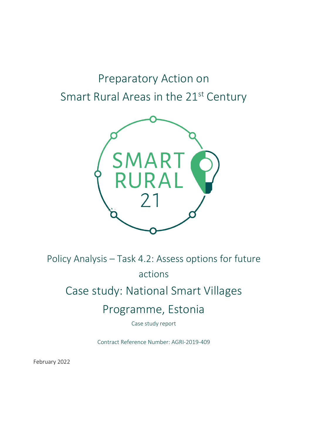# Preparatory Action on Smart Rural Areas in the 21<sup>st</sup> Century



Policy Analysis – Task 4.2: Assess options for future

actions

# Case study: National Smart Villages

# Programme, Estonia

Case study report

Contract Reference Number: AGRI-2019-409

February 2022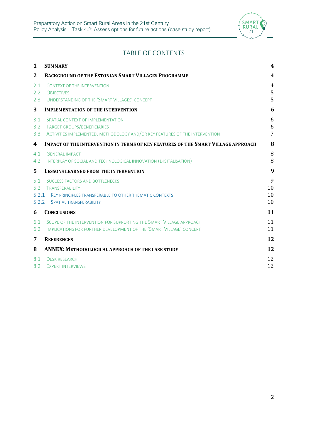

# TABLE OF CONTENTS

| $\mathbf{1}$                 | <b>SUMMARY</b>                                                                                                                                        | 4                        |
|------------------------------|-------------------------------------------------------------------------------------------------------------------------------------------------------|--------------------------|
| 2                            | <b>BACKGROUND OF THE ESTONIAN SMART VILLAGES PROGRAMME</b>                                                                                            | $\boldsymbol{4}$         |
| 2.1<br>2.2<br>2.3            | <b>CONTEXT OF THE INTERVENTION</b><br><b>OBJECTIVES</b><br>UNDERSTANDING OF THE 'SMART VILLAGES' CONCEPT                                              | $\overline{4}$<br>5<br>5 |
| 3                            | <b>IMPLEMENTATION OF THE INTERVENTION</b>                                                                                                             | 6                        |
| 3.1<br>3.2<br>3.3            | SPATIAL CONTEXT OF IMPLEMENTATION<br>TARGET GROUPS/BENEFICIARIES<br>ACTIVITIES IMPLEMENTED, METHODOLOGY AND/OR KEY FEATURES OF THE INTERVENTION       | 6<br>6<br>$\overline{7}$ |
| 4                            | <b>IMPACT OF THE INTERVENTION IN TERMS OF KEY FEATURES OF THE SMART VILLAGE APPROACH</b>                                                              | 8                        |
| 4.1<br>4.2                   | <b>GENERAL IMPACT</b><br>INTERPLAY OF SOCIAL AND TECHNOLOGICAL INNOVATION (DIGITALISATION)                                                            | 8<br>8                   |
| 5.                           | <b>LESSONS LEARNED FROM THE INTERVENTION</b>                                                                                                          | 9                        |
| 5.1<br>5.2<br>5.2.1<br>5.2.2 | <b>SUCCESS FACTORS AND BOTTLENECKS</b><br>TRANSFERABILITY<br>KEY PRINCIPLES TRANSFERABLE TO OTHER THEMATIC CONTEXTS<br><b>SPATIAL TRANSFERABILITY</b> | 9<br>10<br>10<br>10      |
| 6                            | <b>CONCLUSIONS</b>                                                                                                                                    | 11                       |
| 6.1<br>6.2                   | SCOPE OF THE INTERVENTION FOR SUPPORTING THE SMART VILLAGE APPROACH<br>IMPLICATIONS FOR FURTHER DEVELOPMENT OF THE 'SMART VILLAGE' CONCEPT            | 11<br>11                 |
| 7                            | <b>REFERENCES</b>                                                                                                                                     | 12                       |
| 8                            | <b>ANNEX: METHODOLOGICAL APPROACH OF THE CASE STUDY</b>                                                                                               | 12                       |
| 8.1<br>8.2                   | <b>DESK RESEARCH</b><br><b>EXPERT INTERVIEWS</b>                                                                                                      | 12<br>12                 |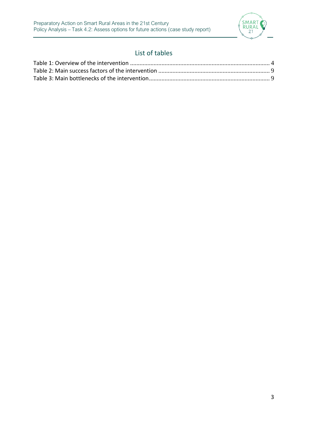

# List of tables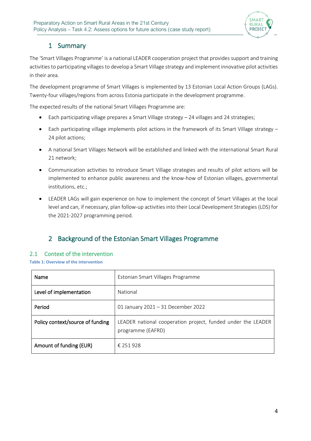

# 1 Summary

The 'Smart Villages Programme' is a national LEADER cooperation project that provides support and training activities to participating villages to develop a Smart Village strategy and implement innovative pilot activities in their area.

The development programme of Smart Villages is implemented by 13 Estonian Local Action Groups (LAGs). Twenty-four villages/regions from across Estonia participate in the development programme.

The expected results of the national Smart Villages Programme are:

- Each participating village prepares a Smart Village strategy 24 villages and 24 strategies;
- Each participating village implements pilot actions in the framework of its Smart Village strategy 24 pilot actions;
- A national Smart Villages Network will be established and linked with the international Smart Rural 21 network;
- Communication activities to introduce Smart Village strategies and results of pilot actions will be implemented to enhance public awareness and the know-how of Estonian villages, governmental institutions, etc.;
- LEADER LAGs will gain experience on how to implement the concept of Smart Villages at the local level and can, if necessary, plan follow-up activities into their Local Development Strategies (LDS) for the 2021-2027 programming period.

# 2 Background of the Estonian Smart Villages Programme

## 2.1 Context of the intervention

<span id="page-3-0"></span>**Table 1: Overview of the intervention**

| Name                             | Estonian Smart Villages Programme                                                 |
|----------------------------------|-----------------------------------------------------------------------------------|
| Level of implementation          | National                                                                          |
| Period                           | 01 January 2021 - 31 December 2022                                                |
| Policy context/source of funding | LEADER national cooperation project, funded under the LEADER<br>programme (EAFRD) |
| Amount of funding (EUR)          | € 251 928                                                                         |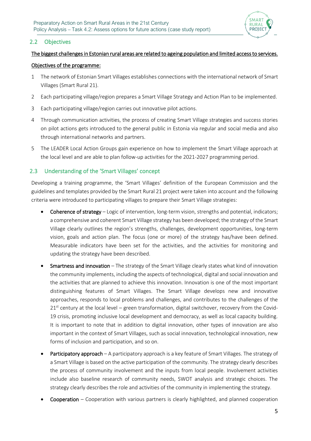

## 2.2 Objectives

### The biggest challenges in Estonian rural areas are related to ageing population and limited access to services.

#### Objectives of the programme:

- 1 The network of Estonian Smart Villages establishes connections with the international network of Smart Villages (Smart Rural 21).
- 2 Each participating village/region prepares a Smart Village Strategy and Action Plan to be implemented.
- 3 Each participating village/region carries out innovative pilot actions.
- 4 Through communication activities, the process of creating Smart Village strategies and success stories on pilot actions gets introduced to the general public in Estonia via regular and social media and also through international networks and partners.
- 5 The LEADER Local Action Groups gain experience on how to implement the Smart Village approach at the local level and are able to plan follow-up activities for the 2021-2027 programming period.

# <span id="page-4-0"></span>2.3 Understanding of the 'Smart Villages' concept

Developing a training programme, the 'Smart Villages' definition of the European Commission and the guidelines and templates provided by the Smart Rural 21 project were taken into account and the following criteria were introduced to participating villages to prepare their Smart Village strategies:

- Coherence of strategy Logic of intervention, long-term vision, strengths and potential, indicators; a comprehensive and coherent Smart Village strategy has been developed; the strategy of the Smart Village clearly outlines the region's strengths, challenges, development opportunities, long-term vision, goals and action plan. The focus (one or more) of the strategy has/have been defined. Measurable indicators have been set for the activities, and the activities for monitoring and updating the strategy have been described.
- Smartness and innovation The strategy of the Smart Village clearly states what kind of innovation the community implements, including the aspects of technological, digital and social innovation and the activities that are planned to achieve this innovation. Innovation is one of the most important distinguishing features of Smart Villages. The Smart Village develops new and innovative approaches, responds to local problems and challenges, and contributes to the challenges of the  $21<sup>st</sup>$  century at the local level – green transformation, digital switchover, recovery from the Covid-19 crisis, promoting inclusive local development and democracy, as well as local capacity building. It is important to note that in addition to digital innovation, other types of innovation are also important in the context of Smart Villages, such as social innovation, technological innovation, new forms of inclusion and participation, and so on.
- Participatory approach A participatory approach is a key feature of Smart Villages. The strategy of a Smart Village is based on the active participation of the community. The strategy clearly describes the process of community involvement and the inputs from local people. Involvement activities include also baseline research of community needs, SWOT analysis and strategic choices. The strategy clearly describes the role and activities of the community in implementing the strategy.
- Cooperation Cooperation with various partners is clearly highlighted, and planned cooperation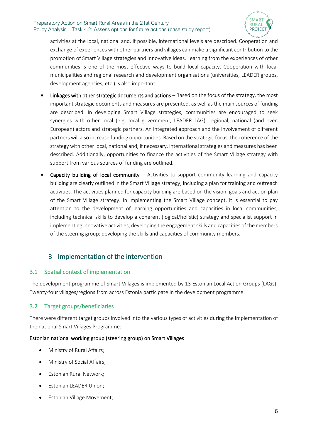

activities at the local, national and, if possible, international levels are described. Cooperation and exchange of experiences with other partners and villages can make a significant contribution to the promotion of Smart Village strategies and innovative ideas. Learning from the experiences of other communities is one of the most effective ways to build local capacity. Cooperation with local municipalities and regional research and development organisations (universities, LEADER groups, development agencies, etc.) is also important.

- Linkages with other strategic documents and actions Based on the focus of the strategy, the most important strategic documents and measures are presented, as well as the main sources of funding are described. In developing Smart Village strategies, communities are encouraged to seek synergies with other local (e.g. local government, LEADER LAG), regional, national (and even European) actors and strategic partners. An integrated approach and the involvement of different partners will also increase funding opportunities. Based on the strategic focus, the coherence of the strategy with other local, national and, if necessary, international strategies and measures has been described. Additionally, opportunities to finance the activities of the Smart Village strategy with support from various sources of funding are outlined.
- **Capacity building of local community** Activities to support community learning and capacity building are clearly outlined in the Smart Village strategy, including a plan for training and outreach activities. The activities planned for capacity building are based on the vision, goals and action plan of the Smart Village strategy. In implementing the Smart Village concept, it is essential to pay attention to the development of learning opportunities and capacities in local communities, including technical skills to develop a coherent (logical/holistic) strategy and specialist support in implementing innovative activities; developing the engagement skills and capacities of the members of the steering group; developing the skills and capacities of community members.

# 3 Implementation of the intervention

## 3.1 Spatial context of implementation

The development programme of Smart Villages is implemented by 13 Estonian Local Action Groups (LAGs). Twenty-four villages/regions from across Estonia participate in the development programme.

# 3.2 Target groups/beneficiaries

There were different target groups involved into the various types of activities during the implementation of the national Smart Villages Programme:

## Estonian national working group (steering group) on Smart Villages

- Ministry of Rural Affairs;
- Ministry of Social Affairs;
- Estonian Rural Network;
- Estonian LEADER Union;
- Estonian Village Movement;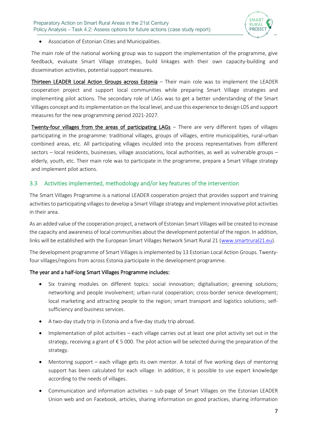

• Association of Estonian Cities and Municipalities.

The main role of the national working group was to support the implementation of the programme, give feedback, evaluate Smart Village strategies, build linkages with their own capacity-building and dissemination activities, potential support measures.

Thirteen LEADER Local Action Groups across Estonia - Their main role was to implement the LEADER cooperation project and support local communities while preparing Smart Village strategies and implementing pilot actions. The secondary role of LAGs was to get a better understanding of the Smart Villages concept and its implementation on the local level, and use this experience to design LDS and support measures for the new programming period 2021-2027.

Twenty-four villages from the areas of participating LAGs – There are very different types of villages participating in the programme: traditional villages, groups of villages, entire municipalities, rural-urban combined areas, etc. All participating villages inculded into the process representatives from different sectors – local residents, businesses, village associations, local authorities, as well as vulnerable groups – elderly, youth, etc. Their main role was to participate in the programme, prepare a Smart Village strategy and implement pilot actions.

## 3.3 Activities implemented, methodology and/or key features of the intervention

The Smart Villages Programme is a national LEADER cooperation project that provides support and training activities to participating villages to develop a Smart Village strategy and implement innovative pilot activities in their area.

As an added value of the cooperation project, a network of Estonian Smart Villages will be created to increase the capacity and awareness of local communities about the development potential of the region. In addition, links will be established with the European Smart Villages Network Smart Rural 21 [\(www.smartrural21.eu\)](http://www.smartrural21.eu/).

The development programme of Smart Villages is implemented by 13 Estonian Local Action Groups. Twentyfour villages/regions from across Estonia participate in the development programme.

#### The year and a half-long Smart Villages Programme includes:

- Six training modules on different topics: social innovation; digitalisation; greening solutions; networking and people involvement; urban-rural cooperation; cross-border service development; local marketing and attracting people to the region; smart transport and logistics solutions; selfsufficiency and business services.
- A two-day study trip in Estonia and a five-day study trip abroad.
- Implementation of pilot activities each village carries out at least one pilot activity set out in the strategy, receiving a grant of  $\epsilon$  5 000. The pilot action will be selected during the preparation of the strategy.
- Mentoring support each village gets its own mentor. A total of five working days of mentoring support has been calculated for each village. In addition, it is possible to use expert knowledge according to the needs of villages.
- Communication and information activities sub-page of Smart Villages on the Estonian LEADER Union web and on Facebook, articles, sharing information on good practices, sharing information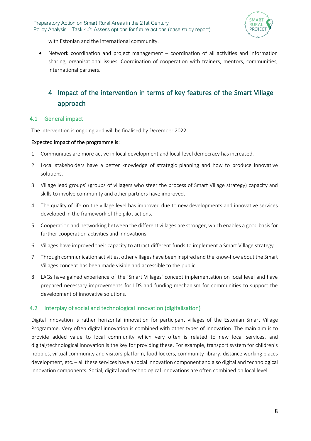

with Estonian and the international community.

• Network coordination and project management – coordination of all activities and information sharing, organisational issues. Coordination of cooperation with trainers, mentors, communities, international partners.

# 4 Impact of the intervention in terms of key features of the Smart Village approach

#### 4.1 General impact

The intervention is ongoing and will be finalised by December 2022.

#### Expected impact of the programme is:

- 1 Communities are more active in local development and local-level democracy has increased.
- 2 Local stakeholders have a better knowledge of strategic planning and how to produce innovative solutions.
- 3 Village lead groups' (groups of villagers who steer the process of Smart Village strategy) capacity and skills to involve community and other partners have improved.
- 4 The quality of life on the village level has improved due to new developments and innovative services developed in the framework of the pilot actions.
- 5 Cooperation and networking between the different villages are stronger, which enables a good basisfor further cooperation activities and innovations.
- 6 Villages have improved their capacity to attract different funds to implement a Smart Village strategy.
- 7 Through communication activities, other villages have been inspired and the know-how about the Smart Villages concept has been made visible and accessible to the public.
- 8 LAGs have gained experience of the 'Smart Villages' concept implementation on local level and have prepared necessary improvements for LDS and funding mechanism for communities to support the development of innovative solutions.

#### 4.2 Interplay of social and technological innovation (digitalisation)

Digital innovation is rather horizontal innovation for participant villages of the Estonian Smart Village Programme. Very often digital innovation is combined with other types of innovation. The main aim is to provide added value to local community which very often is related to new local services, and digital/technological innovation is the key for providing these. For example, transport system for children's hobbies, virtual community and visitors platform, food lockers, community library, distance working places development, etc. – all these services have a social innovation component and also digital and technological innovation components. Social, digital and technological innovations are often combined on local level.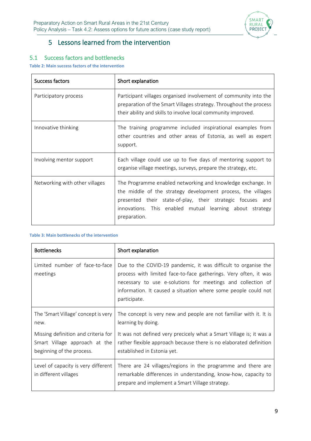

# 5 Lessons learned from the intervention

# 5.1 Success factors and bottlenecks

<span id="page-8-0"></span>**Table 2: Main success factors of the intervention**

| Success factors                | Short explanation                                                                                                                                                                                                                                                     |
|--------------------------------|-----------------------------------------------------------------------------------------------------------------------------------------------------------------------------------------------------------------------------------------------------------------------|
| Participatory process          | Participant villages organised involvement of community into the<br>preparation of the Smart Villages strategy. Throughout the process<br>their ability and skills to involve local community improved.                                                               |
| Innovative thinking            | The training programme included inspirational examples from<br>other countries and other areas of Estonia, as well as expert<br>support.                                                                                                                              |
| Involving mentor support       | Each village could use up to five days of mentoring support to<br>organise village meetings, surveys, prepare the strategy, etc.                                                                                                                                      |
| Networking with other villages | The Programme enabled networking and knowledge exchange. In<br>the middle of the strategy development process, the villages<br>presented their state-of-play, their strategic focuses and<br>innovations. This enabled mutual learning about strategy<br>preparation. |

#### <span id="page-8-1"></span>**Table 3: Main bottlenecks of the intervention**

| <b>Bottlenecks</b>                                                                                | Short explanation                                                                                                                                                                                                                                                                   |
|---------------------------------------------------------------------------------------------------|-------------------------------------------------------------------------------------------------------------------------------------------------------------------------------------------------------------------------------------------------------------------------------------|
| Limited number of face-to-face<br>meetings                                                        | Due to the COVID-19 pandemic, it was difficult to organise the<br>process with limited face-to-face gatherings. Very often, it was<br>necessary to use e-solutions for meetings and collection of<br>information. It caused a situation where some people could not<br>participate. |
| The 'Smart Village' concept is very<br>new.                                                       | The concept is very new and people are not familiar with it. It is<br>learning by doing.                                                                                                                                                                                            |
| Missing definition and criteria for<br>Smart Village approach at the<br>beginning of the process. | It was not defined very precicely what a Smart Village is; it was a<br>rather flexible approach because there is no elaborated definition<br>established in Estonia yet.                                                                                                            |
| Level of capacity is very different<br>in different villages                                      | There are 24 villages/regions in the programme and there are<br>remarkable differences in understanding, know-how, capacity to<br>prepare and implement a Smart Village strategy.                                                                                                   |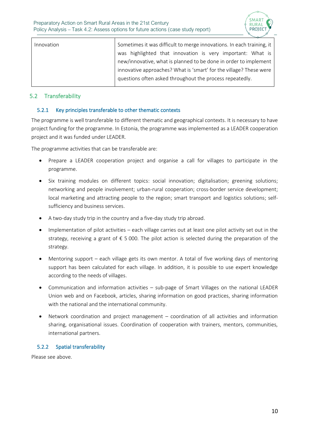

| Innovation | Sometimes it was difficult to merge innovations. In each training, it |
|------------|-----------------------------------------------------------------------|
|            | was highlighted that innovation is very important: What is            |
|            | new/innovative, what is planned to be done in order to implement      |
|            | innovative approaches? What is 'smart' for the village? These were    |
|            | questions often asked throughout the process repeatedly.              |
|            |                                                                       |

# 5.2 Transferability

### 5.2.1 Key principles transferable to other thematic contexts

The programme is well transferable to different thematic and geographical contexts. It is necessary to have project funding for the programme. In Estonia, the programme was implemented as a LEADER cooperation project and it was funded under LEADER.

The programme activities that can be transferable are:

- Prepare a LEADER cooperation project and organise a call for villages to participate in the programme.
- Six training modules on different topics: social innovation; digitalisation; greening solutions; networking and people involvement; urban-rural cooperation; cross-border service development; local marketing and attracting people to the region; smart transport and logistics solutions; selfsufficiency and business services.
- A two-day study trip in the country and a five-day study trip abroad.
- Implementation of pilot activities each village carries out at least one pilot activity set out in the strategy, receiving a grant of € 5 000. The pilot action is selected during the preparation of the strategy.
- Mentoring support each village gets its own mentor. A total of five working days of mentoring support has been calculated for each village. In addition, it is possible to use expert knowledge according to the needs of villages.
- Communication and information activities sub-page of Smart Villages on the national LEADER Union web and on Facebook, articles, sharing information on good practices, sharing information with the national and the international community.
- Network coordination and project management coordination of all activities and information sharing, organisational issues. Coordination of cooperation with trainers, mentors, communities, international partners.

## 5.2.2 Spatial transferability

Please see above.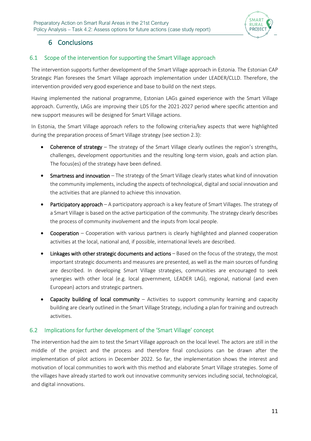

# 6 Conclusions

# 6.1 Scope of the intervention for supporting the Smart Village approach

The intervention supports further development of the Smart Village approach in Estonia. The Estonian CAP Strategic Plan foresees the Smart Village approach implementation under LEADER/CLLD. Therefore, the intervention provided very good experience and base to build on the next steps.

Having implemented the national programme, Estonian LAGs gained experience with the Smart Village approach. Currently, LAGs are improving their LDS for the 2021-2027 period where specific attention and new support measures will be designed for Smart Village actions.

In Estonia, the Smart Village approach refers to the following criteria/key aspects that were highlighted during the preparation process of Smart Village strategy (see section [2.3\)](#page-4-0):

- Coherence of strategy The strategy of the Smart Village clearly outlines the region's strengths, challenges, development opportunities and the resulting long-term vision, goals and action plan. The focus(es) of the strategy have been defined.
- Smartness and innovation The strategy of the Smart Village clearly states what kind of innovation the community implements, including the aspects of technological, digital and social innovation and the activities that are planned to achieve this innovation.
- Participatory approach A participatory approach is a key feature of Smart Villages. The strategy of a Smart Village is based on the active participation of the community. The strategy clearly describes the process of community involvement and the inputs from local people.
- Cooperation Cooperation with various partners is clearly highlighted and planned cooperation activities at the local, national and, if possible, international levels are described.
- Linkages with other strategic documents and actions Based on the focus of the strategy, the most important strategic documents and measures are presented, as well as the main sources of funding are described. In developing Smart Village strategies, communities are encouraged to seek synergies with other local (e.g. local government, LEADER LAG), regional, national (and even European) actors and strategic partners.
- **Capacity building of local community** Activities to support community learning and capacity building are clearly outlined in the Smart Village Strategy, including a plan for training and outreach activities.

## 6.2 Implications for further development of the 'Smart Village' concept

The intervention had the aim to test the Smart Village approach on the local level. The actors are still in the middle of the project and the process and therefore final conclusions can be drawn after the implementation of pilot actions in December 2022. So far, the implementation shows the interest and motivation of local communities to work with this method and elaborate Smart Village strategies. Some of the villages have already started to work out innovative community services including social, technological, and digital innovations.